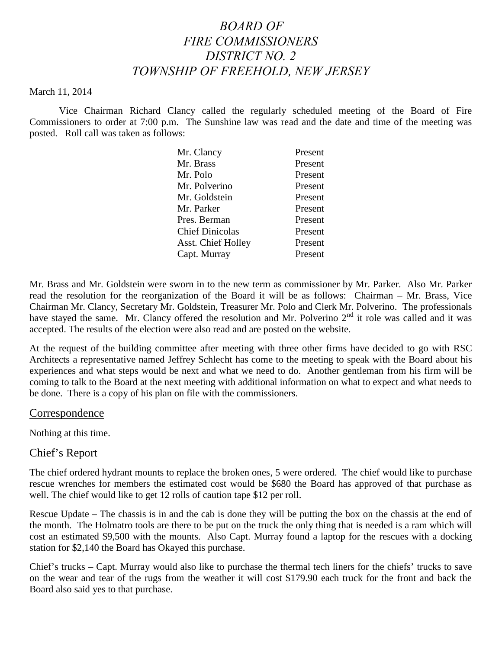# *BOARD OF FIRE COMMISSIONERS DISTRICT NO. 2 TOWNSHIP OF FREEHOLD, NEW JERSEY*

#### March 11, 2014

Vice Chairman Richard Clancy called the regularly scheduled meeting of the Board of Fire Commissioners to order at 7:00 p.m. The Sunshine law was read and the date and time of the meeting was posted. Roll call was taken as follows:

| Mr. Clancy                | Present |
|---------------------------|---------|
| Mr. Brass                 | Present |
| Mr. Polo                  | Present |
| Mr. Polverino             | Present |
| Mr. Goldstein             | Present |
| Mr. Parker                | Present |
| Pres. Berman              | Present |
| <b>Chief Dinicolas</b>    | Present |
| <b>Asst. Chief Holley</b> | Present |
| Capt. Murray              | Present |

Mr. Brass and Mr. Goldstein were sworn in to the new term as commissioner by Mr. Parker. Also Mr. Parker read the resolution for the reorganization of the Board it will be as follows: Chairman – Mr. Brass, Vice Chairman Mr. Clancy, Secretary Mr. Goldstein, Treasurer Mr. Polo and Clerk Mr. Polverino. The professionals have stayed the same. Mr. Clancy offered the resolution and Mr. Polverino 2<sup>nd</sup> it role was called and it was accepted. The results of the election were also read and are posted on the website.

At the request of the building committee after meeting with three other firms have decided to go with RSC Architects a representative named Jeffrey Schlecht has come to the meeting to speak with the Board about his experiences and what steps would be next and what we need to do. Another gentleman from his firm will be coming to talk to the Board at the next meeting with additional information on what to expect and what needs to be done. There is a copy of his plan on file with the commissioners.

#### Correspondence

Nothing at this time.

### Chief's Report

The chief ordered hydrant mounts to replace the broken ones, 5 were ordered. The chief would like to purchase rescue wrenches for members the estimated cost would be \$680 the Board has approved of that purchase as well. The chief would like to get 12 rolls of caution tape \$12 per roll.

Rescue Update – The chassis is in and the cab is done they will be putting the box on the chassis at the end of the month. The Holmatro tools are there to be put on the truck the only thing that is needed is a ram which will cost an estimated \$9,500 with the mounts. Also Capt. Murray found a laptop for the rescues with a docking station for \$2,140 the Board has Okayed this purchase.

Chief's trucks – Capt. Murray would also like to purchase the thermal tech liners for the chiefs' trucks to save on the wear and tear of the rugs from the weather it will cost \$179.90 each truck for the front and back the Board also said yes to that purchase.